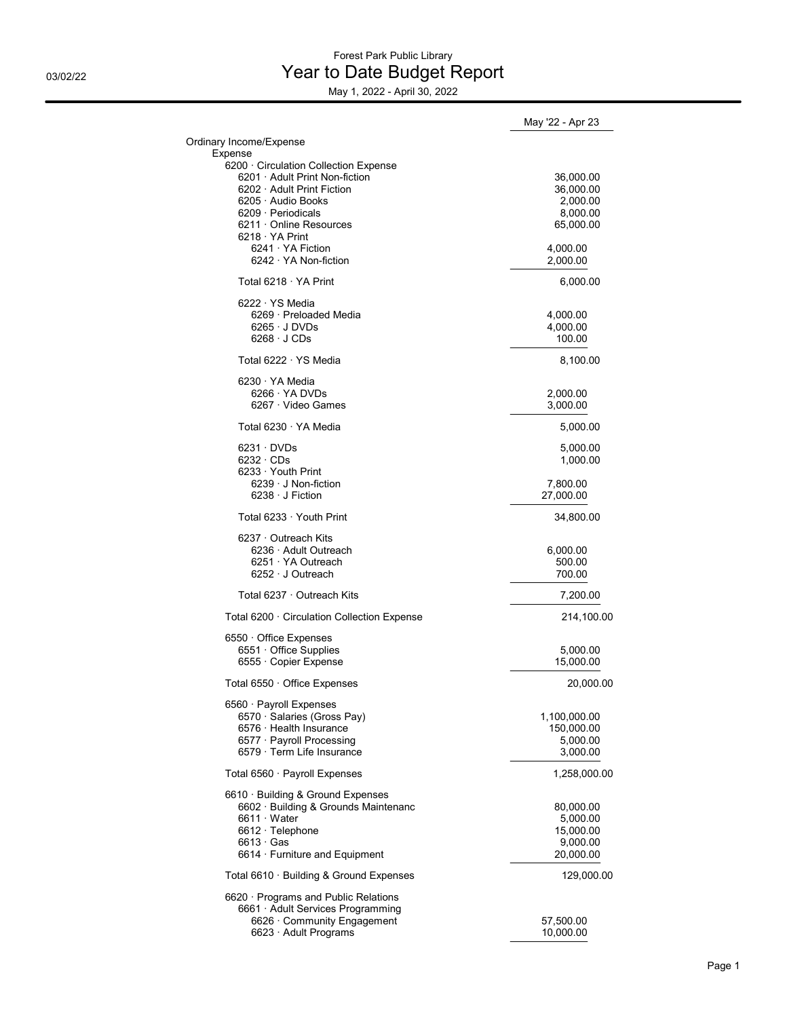## Forest Park Public Library 03/02/22 **Discrete Section Proport Report** Pread **Year to Date Budget Report**

May 1, 2022 - April 30, 2022

|                                                              | May '22 - Apr 23       |
|--------------------------------------------------------------|------------------------|
| Ordinary Income/Expense                                      |                        |
| Expense                                                      |                        |
| 6200 · Circulation Collection Expense                        |                        |
| 6201 · Adult Print Non-fiction<br>6202 · Adult Print Fiction | 36,000.00              |
| $6205 \cdot$ Audio Books                                     | 36,000.00<br>2,000.00  |
| $6209 \cdot$ Periodicals                                     | 8,000.00               |
| $6211 \cdot$ Online Resources                                | 65,000.00              |
| $6218 \cdot YA$ Print                                        |                        |
| $6241 \cdot YA$ Fiction                                      | 4,000.00               |
| $6242 \cdot YA$ Non-fiction                                  | 2,000.00               |
| Total 6218 · YA Print                                        | 6,000.00               |
| $6222 \cdot YS$ Media                                        |                        |
| 6269 · Preloaded Media                                       | 4,000.00               |
| $6265 \cdot J$ DVDs                                          | 4,000.00               |
| $6268 \cdot JCDs$                                            | 100.00                 |
| Total 6222 · YS Media                                        | 8,100.00               |
| 6230 · YA Media                                              |                        |
| $6266 \cdot YA$ DVDs                                         | 2,000.00               |
| 6267 · Video Games                                           | 3,000.00               |
| Total 6230 · YA Media                                        | 5,000.00               |
| $6231 \cdot DVDs$                                            | 5,000.00               |
| $6232 \cdot CDS$                                             | 1,000.00               |
| $6233 \cdot$ Youth Print                                     |                        |
| $6239 \cdot J$ Non-fiction                                   | 7,800.00               |
| $6238 \cdot J$ Fiction                                       | 27,000.00              |
| Total 6233 · Youth Print                                     | 34,800.00              |
| $6237 \cdot$ Outreach Kits                                   |                        |
| 6236 · Adult Outreach                                        | 6,000.00               |
| $6251 \cdot YA$ Outreach                                     | 500.00                 |
| $6252 \cdot J$ Outreach                                      | 700.00                 |
| Total 6237 · Outreach Kits                                   | 7,200.00               |
| Total 6200 · Circulation Collection Expense                  | 214,100.00             |
| 6550 Office Expenses                                         |                        |
| 6551 Office Supplies                                         | 5,000.00               |
| 6555 Copier Expense                                          | 15,000.00              |
| Total 6550 · Office Expenses                                 | 20,000.00              |
| 6560 · Payroll Expenses                                      |                        |
| 6570 · Salaries (Gross Pay)                                  | 1,100,000.00           |
| 6576 · Health Insurance                                      | 150,000.00             |
| 6577 · Payroll Processing                                    | 5.000.00               |
| 6579 · Term Life Insurance                                   | 3,000.00               |
| Total 6560 · Payroll Expenses                                | 1,258,000.00           |
| 6610 · Building & Ground Expenses                            |                        |
| 6602 · Building & Grounds Maintenanc                         | 80,000.00              |
| $6611 \cdot Water$                                           | 5,000.00               |
| 6612 · Telephone                                             | 15,000.00              |
| $6613 \cdot$ Gas                                             | 9,000.00               |
| 6614 · Furniture and Equipment                               | 20,000.00              |
| Total 6610 · Building & Ground Expenses                      | 129,000.00             |
| $6620 \cdot$ Programs and Public Relations                   |                        |
| 6661 · Adult Services Programming                            |                        |
| 6626 · Community Engagement<br>6623 · Adult Programs         | 57,500.00<br>10,000.00 |
|                                                              |                        |